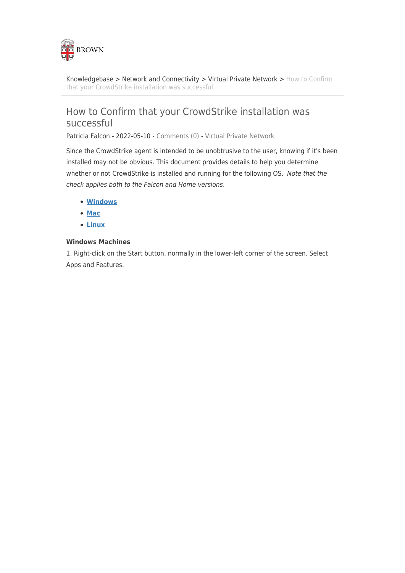

[Knowledgebase](https://ithelp.brown.edu/kb) > [Network and Connectivity](https://ithelp.brown.edu/kb/network-and-connectivity) > [Virtual Private Network](https://ithelp.brown.edu/kb/virtual-private-network) > [How to Confirm](https://ithelp.brown.edu/kb/articles/how-to-confirm-that-your-crowdstrike-installation-was-successful) [that your CrowdStrike installation was successful](https://ithelp.brown.edu/kb/articles/how-to-confirm-that-your-crowdstrike-installation-was-successful)

# How to Confirm that your CrowdStrike installation was successful

Patricia Falcon - 2022-05-10 - [Comments \(0\)](#page--1-0) - [Virtual Private Network](https://ithelp.brown.edu/kb/virtual-private-network)

Since the CrowdStrike agent is intended to be unobtrusive to the user, knowing if it's been installed may not be obvious. This document provides details to help you determine whether or not CrowdStrike is installed and running for the following OS. Note that the check applies both to the Falcon and Home versions.

- **[Windows](#page-0-0)**
- **[Mac](#page-2-0)**
- **[Linux](#page-3-0)**

## <span id="page-0-0"></span>**Windows Machines**

1. Right-click on the Start button, normally in the lower-left corner of the screen. Select Apps and Features.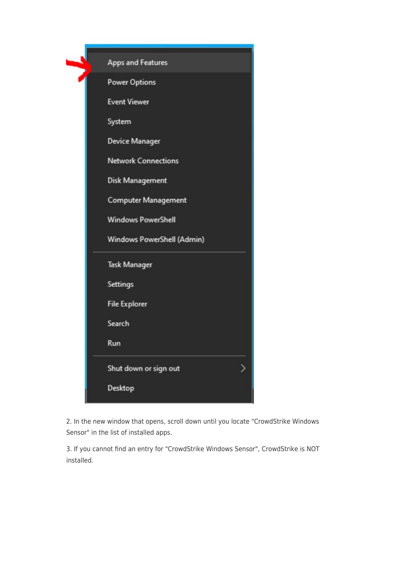|  | <b>Apps and Features</b>   |
|--|----------------------------|
|  | <b>Power Options</b>       |
|  | <b>Event Viewer</b>        |
|  | System                     |
|  | <b>Device Manager</b>      |
|  | <b>Network Connections</b> |
|  | Disk Management            |
|  | <b>Computer Management</b> |
|  | <b>Windows PowerShell</b>  |
|  | Windows PowerShell (Admin) |
|  | <b>Task Manager</b>        |
|  | Settings                   |
|  | <b>File Explorer</b>       |
|  | Search                     |
|  | Run                        |
|  | Shut down or sign out      |
|  | Desktop                    |
|  |                            |

2. In the new window that opens, scroll down until you locate "CrowdStrike Windows Sensor" in the list of installed apps.

3. If you cannot find an entry for "CrowdStrike Windows Sensor", CrowdStrike is NOT installed.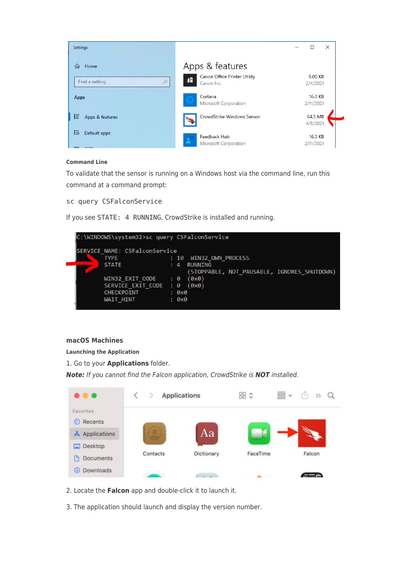

#### **Command Line**

To validate that the sensor is running on a Windows host via the command line, run this command at a command prompt:

sc query CSFalconService

If you see STATE: 4 RUNNING, CrowdStrike is installed and running.



#### <span id="page-2-0"></span>**macOS Machines**

**Launching the Application**

1. Go to your **Applications** folder.

*Note:* If you cannot find the Falcon application, CrowdStrike is *NOT* installed.

|                                 | <b>Applications</b> |            | 品 ≎      | $rac{000}{000}$<br>$\checkmark$<br>٢h<br>$\gg$ |
|---------------------------------|---------------------|------------|----------|------------------------------------------------|
| Favorites<br>Recents<br>$\circ$ |                     |            |          |                                                |
| A Applications                  |                     | Aa         |          |                                                |
| Desktop<br>Documents<br>n       | Contacts            | Dictionary | FaceTime | Falcon                                         |
| Downloads<br>$\circledast$      |                     |            |          |                                                |

- 2. Locate the **Falcon** app and double-click it to launch it.
- 3. The application should launch and display the version number.